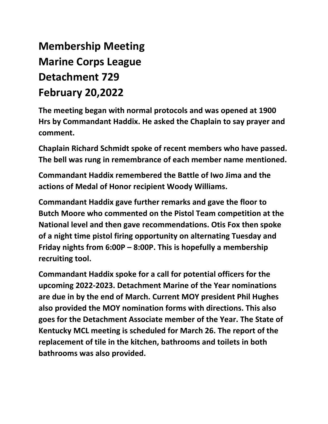## **Membership Meeting Marine Corps League Detachment 729 February 20,2022**

**The meeting began with normal protocols and was opened at 1900 Hrs by Commandant Haddix. He asked the Chaplain to say prayer and comment.**

**Chaplain Richard Schmidt spoke of recent members who have passed. The bell was rung in remembrance of each member name mentioned.** 

**Commandant Haddix remembered the Battle of Iwo Jima and the actions of Medal of Honor recipient Woody Williams.**

**Commandant Haddix gave further remarks and gave the floor to Butch Moore who commented on the Pistol Team competition at the National level and then gave recommendations. Otis Fox then spoke of a night time pistol firing opportunity on alternating Tuesday and Friday nights from 6:00P – 8:00P. This is hopefully a membership recruiting tool.**

**Commandant Haddix spoke for a call for potential officers for the upcoming 2022-2023. Detachment Marine of the Year nominations are due in by the end of March. Current MOY president Phil Hughes also provided the MOY nomination forms with directions. This also goes for the Detachment Associate member of the Year. The State of Kentucky MCL meeting is scheduled for March 26. The report of the replacement of tile in the kitchen, bathrooms and toilets in both bathrooms was also provided.**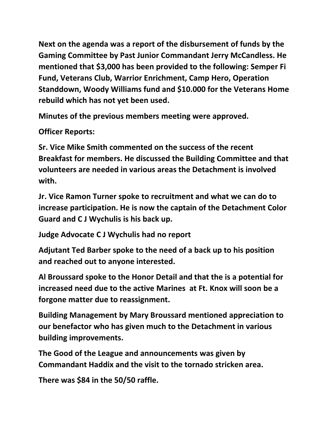**Next on the agenda was a report of the disbursement of funds by the Gaming Committee by Past Junior Commandant Jerry McCandless. He mentioned that \$3,000 has been provided to the following: Semper Fi Fund, Veterans Club, Warrior Enrichment, Camp Hero, Operation Standdown, Woody Williams fund and \$10.000 for the Veterans Home rebuild which has not yet been used.**

**Minutes of the previous members meeting were approved.** 

**Officer Reports:**

**Sr. Vice Mike Smith commented on the success of the recent Breakfast for members. He discussed the Building Committee and that volunteers are needed in various areas the Detachment is involved with.**

**Jr. Vice Ramon Turner spoke to recruitment and what we can do to increase participation. He is now the captain of the Detachment Color Guard and C J Wychulis is his back up.**

**Judge Advocate C J Wychulis had no report**

**Adjutant Ted Barber spoke to the need of a back up to his position and reached out to anyone interested.**

**Al Broussard spoke to the Honor Detail and that the is a potential for increased need due to the active Marines at Ft. Knox will soon be a forgone matter due to reassignment.** 

**Building Management by Mary Broussard mentioned appreciation to our benefactor who has given much to the Detachment in various building improvements.**

**The Good of the League and announcements was given by Commandant Haddix and the visit to the tornado stricken area.** 

**There was \$84 in the 50/50 raffle.**